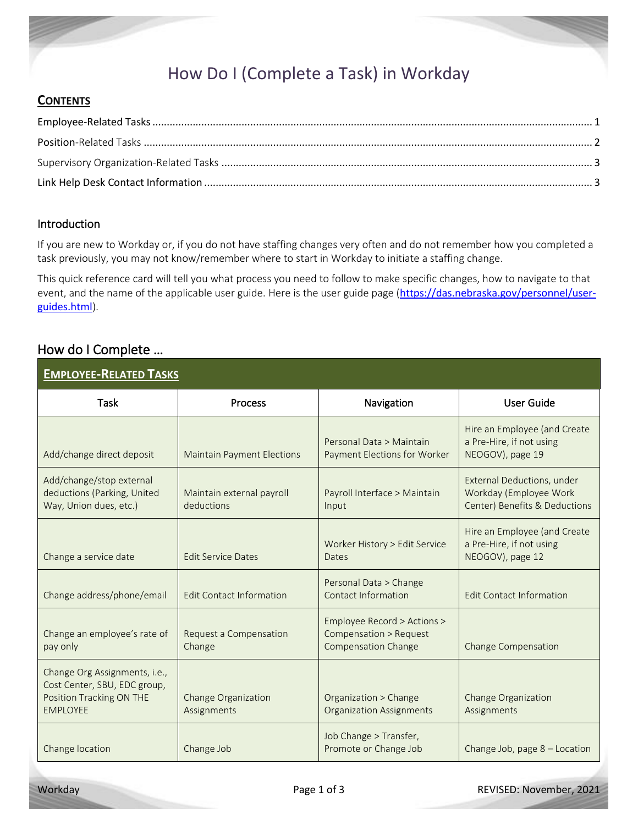## How Do I (Complete a Task) in Workday

#### **CONTENTS**

#### Introduction

If you are new to Workday or, if you do not have staffing changes very often and do not remember how you completed a task previously, you may not know/remember where to start in Workday to initiate a staffing change.

This quick reference card will tell you what process you need to follow to make specific changes, how to navigate to that event, and the name of the applicable user guide. Here is the user guide page ([https://das.nebraska.gov/personnel/user](https://das.nebraska.gov/personnel/user-guides.html)[guides.html](https://das.nebraska.gov/personnel/user-guides.html)).

#### How do I Complete …

<span id="page-0-0"></span>

| <b>EMPLOYEE-RELATED TASKS</b>                                                                                |                                         |                                                                                     |                                                                                       |
|--------------------------------------------------------------------------------------------------------------|-----------------------------------------|-------------------------------------------------------------------------------------|---------------------------------------------------------------------------------------|
| Task                                                                                                         | <b>Process</b>                          | Navigation                                                                          | <b>User Guide</b>                                                                     |
| Add/change direct deposit                                                                                    | <b>Maintain Payment Elections</b>       | Personal Data > Maintain<br>Payment Elections for Worker                            | Hire an Employee (and Create<br>a Pre-Hire, if not using<br>NEOGOV), page 19          |
| Add/change/stop external<br>deductions (Parking, United<br>Way, Union dues, etc.)                            | Maintain external payroll<br>deductions | Payroll Interface > Maintain<br>Input                                               | External Deductions, under<br>Workday (Employee Work<br>Center) Benefits & Deductions |
| Change a service date                                                                                        | <b>Edit Service Dates</b>               | Worker History > Edit Service<br>Dates                                              | Hire an Employee (and Create<br>a Pre-Hire, if not using<br>NEOGOV), page 12          |
| Change address/phone/email                                                                                   | <b>Edit Contact Information</b>         | Personal Data > Change<br>Contact Information                                       | <b>Edit Contact Information</b>                                                       |
| Change an employee's rate of<br>pay only                                                                     | Request a Compensation<br>Change        | Employee Record > Actions ><br>Compensation > Request<br><b>Compensation Change</b> | <b>Change Compensation</b>                                                            |
| Change Org Assignments, i.e.,<br>Cost Center, SBU, EDC group,<br>Position Tracking ON THE<br><b>EMPLOYEE</b> | Change Organization<br>Assignments      | Organization > Change<br><b>Organization Assignments</b>                            | <b>Change Organization</b><br>Assignments                                             |
| Change location                                                                                              | Change Job                              | Job Change > Transfer,<br>Promote or Change Job                                     | Change Job, page 8 - Location                                                         |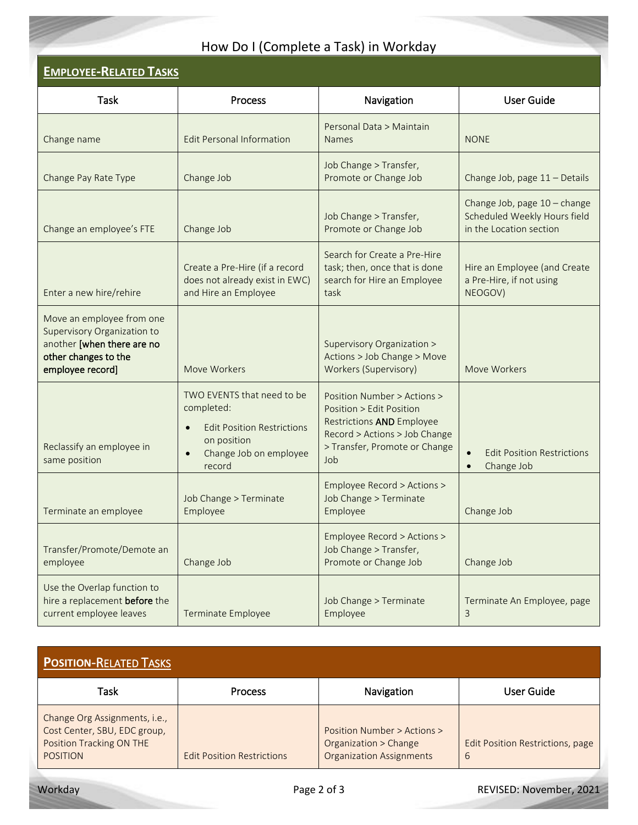# How Do I (Complete a Task) in Workday

| <b>EMPLOYEE-RELATED TASKS</b>                                                                                                      |                                                                                                                                  |                                                                                                                                                                      |                                                                                         |
|------------------------------------------------------------------------------------------------------------------------------------|----------------------------------------------------------------------------------------------------------------------------------|----------------------------------------------------------------------------------------------------------------------------------------------------------------------|-----------------------------------------------------------------------------------------|
| <b>Task</b>                                                                                                                        | Process                                                                                                                          | Navigation                                                                                                                                                           | <b>User Guide</b>                                                                       |
| Change name                                                                                                                        | <b>Edit Personal Information</b>                                                                                                 | Personal Data > Maintain<br><b>Names</b>                                                                                                                             | <b>NONE</b>                                                                             |
| Change Pay Rate Type                                                                                                               | Change Job                                                                                                                       | Job Change > Transfer,<br>Promote or Change Job                                                                                                                      | Change Job, page 11 - Details                                                           |
| Change an employee's FTE                                                                                                           | Change Job                                                                                                                       | Job Change > Transfer,<br>Promote or Change Job                                                                                                                      | Change Job, page 10 - change<br>Scheduled Weekly Hours field<br>in the Location section |
| Enter a new hire/rehire                                                                                                            | Create a Pre-Hire (if a record<br>does not already exist in EWC)<br>and Hire an Employee                                         | Search for Create a Pre-Hire<br>task; then, once that is done<br>search for Hire an Employee<br>task                                                                 | Hire an Employee (and Create<br>a Pre-Hire, if not using<br>NEOGOV)                     |
| Move an employee from one<br>Supervisory Organization to<br>another [when there are no<br>other changes to the<br>employee record] | Move Workers                                                                                                                     | Supervisory Organization ><br>Actions > Job Change > Move<br>Workers (Supervisory)                                                                                   | Move Workers                                                                            |
| Reclassify an employee in<br>same position                                                                                         | TWO EVENTS that need to be<br>completed:<br><b>Edit Position Restrictions</b><br>on position<br>Change Job on employee<br>record | Position Number > Actions ><br>Position > Edit Position<br><b>Restrictions AND Employee</b><br>Record > Actions > Job Change<br>> Transfer, Promote or Change<br>Job | <b>Edit Position Restrictions</b><br>Change Job<br>$\bullet$                            |
| Terminate an employee                                                                                                              | Job Change > Terminate<br>Employee                                                                                               | Employee Record > Actions ><br>Job Change > Terminate<br>Employee                                                                                                    | Change Job                                                                              |
| Transfer/Promote/Demote an<br>employee                                                                                             | Change Job                                                                                                                       | Employee Record > Actions ><br>Job Change > Transfer,<br>Promote or Change Job                                                                                       | Change Job                                                                              |
| Use the Overlap function to<br>hire a replacement before the<br>current employee leaves                                            | <b>Terminate Employee</b>                                                                                                        | Job Change > Terminate<br>Employee                                                                                                                                   | Terminate An Employee, page<br>3                                                        |

<span id="page-1-0"></span>

| <b>POSITION-RELATED TASKS</b>                                                                                |                                   |                                                                                         |                                              |
|--------------------------------------------------------------------------------------------------------------|-----------------------------------|-----------------------------------------------------------------------------------------|----------------------------------------------|
| Task                                                                                                         | <b>Process</b>                    | Navigation                                                                              | User Guide                                   |
| Change Org Assignments, i.e.,<br>Cost Center, SBU, EDC group,<br>Position Tracking ON THE<br><b>POSITION</b> | <b>Edit Position Restrictions</b> | Position Number > Actions ><br>Organization > Change<br><b>Organization Assignments</b> | <b>Edit Position Restrictions, page</b><br>6 |

Workday **Page 2 of 3** Page 2 of 3 REVISED: November, 2021